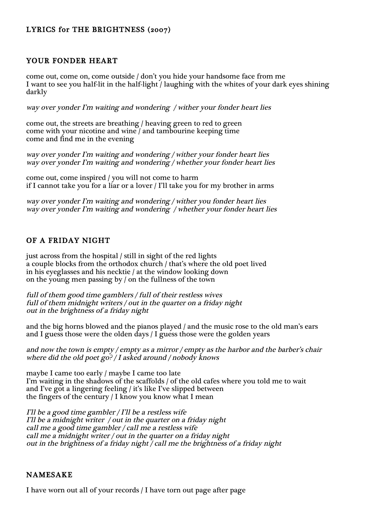# LYRICS for THE BRIGHTNESS (2007)

# YOUR FONDER HEART

come out, come on, come outside / don't you hide your handsome face from me I want to see you half-lit in the half-light / laughing with the whites of your dark eyes shining darkly

way over yonder I'm waiting and wondering / wither your fonder heart lies

come out, the streets are breathing / heaving green to red to green come with your nicotine and wine / and tambourine keeping time come and find me in the evening

way over yonder I'm waiting and wondering / wither your fonder heart lies way over yonder I'm waiting and wondering / whether your fonder heart lies

come out, come inspired / you will not come to harm if I cannot take you for a liar or a lover / I'll take you for my brother in arms

way over yonder I'm waiting and wondering / wither you fonder heart lies way over yonder I'm waiting and wondering / whether your fonder heart lies

# OF A FRIDAY NIGHT

just across from the hospital / still in sight of the red lights a couple blocks from the orthodox church / that's where the old poet lived in his eyeglasses and his necktie / at the window looking down on the young men passing by / on the fullness of the town

full of them good time gamblers / full of their restless wives full of them midnight writers / out in the quarter on a friday night out in the brightness of a friday night

and the big horns blowed and the pianos played / and the music rose to the old man's ears and I guess those were the olden days / I guess those were the golden years

and now the town is empty / empty as a mirror / empty as the harbor and the barber's chair where did the old poet  $g_0$ ? / I asked around / nobody knows

maybe I came too early / maybe I came too late I'm waiting in the shadows of the scaffolds / of the old cafes where you told me to wait and I've got a lingering feeling / it's like I've slipped between the fingers of the century  $/$  I know you know what I mean

I'll be a good time gambler / I'll be a restless wife I'll be a midnight writer / out in the quarter on a friday night call me a good time gambler / call me a restless wife call me a midnight writer / out in the quarter on a friday night out in the brightness of a friday night / call me the brightness of a friday night

# NAMESAKE

I have worn out all of your records / I have torn out page after page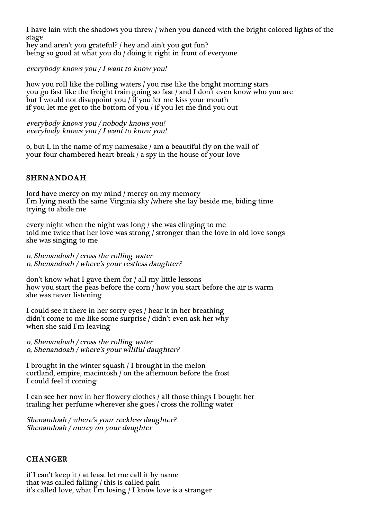I have lain with the shadows you threw / when you danced with the bright colored lights of the stage

hey and aren't you grateful? / hey and ain't you got fun? being so good at what you do / doing it right in front of everyone

everybody knows you / I want to know you!

how you roll like the rolling waters / you rise like the bright morning stars you go fast like the freight train going so fast / and I don't even know who you are but I would not disappoint you / if you let me kiss your mouth if you let me get to the bottom of you / if you let me find you out

everybody knows you / nobody knows you! everybody knows you / I want to know you!

o, but I, in the name of my namesake / am a beautiful fly on the wall of your four-chambered heart-break / a spy in the house of your love

# SHENANDOAH

lord have mercy on my mind / mercy on my memory I'm lying neath the same Virginia sky /where she lay beside me, biding time trying to abide me

every night when the night was long / she was clinging to me told me twice that her love was strong / stronger than the love in old love songs she was singing to me

o, Shenandoah / cross the rolling water o, Shenandoah / where's your restless daughter?

don't know what I gave them for / all my little lessons how you start the peas before the corn / how you start before the air is warm she was never listening

I could see it there in her sorry eyes / hear it in her breathing didn't come to me like some surprise / didn't even ask her why when she said I'm leaving

o, Shenandoah / cross the rolling water o, Shenandoah / where's your willful daughter?

I brought in the winter squash / I brought in the melon cortland, empire, macintosh / on the afternoon before the frost I could feel it coming

I can see her now in her flowery clothes / all those things I bought her trailing her perfume wherever she goes / cross the rolling water

Shenandoah / where's your reckless daughter? Shenandoah / mercy on your daughter

### **CHANGER**

if I can't keep it / at least let me call it by name that was called falling / this is called pain it's called love, what I'm losing / I know love is a stranger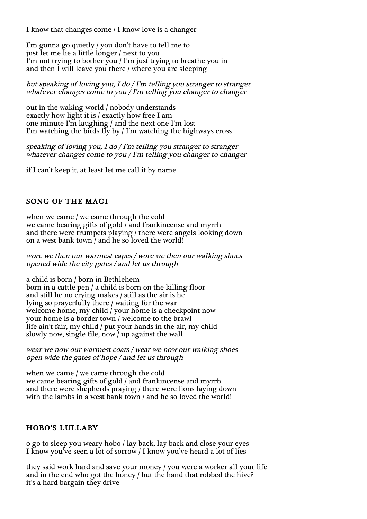I know that changes come / I know love is a changer

I'm gonna go quietly / you don't have to tell me to just let me lie a little longer / next to you I'm not trying to bother you / I'm just trying to breathe you in and then I will leave you there / where you are sleeping

but speaking of loving you, I do / I'm telling you stranger to stranger whatever changes come to you / I'm telling you changer to changer

out in the waking world / nobody understands exactly how light it is / exactly how free I am one minute I'm laughing / and the next one I'm lost I'm watching the birds fly by / I'm watching the highways cross

speaking of loving you, I do / I'm telling you stranger to stranger whatever changes come to you / I'm telling you changer to changer

if I can't keep it, at least let me call it by name

# SONG OF THE MAGI

when we came / we came through the cold we came bearing gifts of gold / and frankincense and myrrh and there were trumpets playing / there were angels looking down on a west bank town / and he so loved the world!

wore we then our warmest capes / wore we then our walking shoes opened wide the city gates / and let us through

a child is born / born in Bethlehem born in a cattle pen / a child is born on the killing floor and still he no crying makes / still as the air is he lying so prayerfully there / waiting for the war welcome home, my child / your home is a checkpoint now your home is a border town / welcome to the brawl life ain't fair, my child / put your hands in the air, my child slowly now, single file, now / up against the wall

wear we now our warmest coats / wear we now our walking shoes open wide the gates of hope / and let us through

when we came / we came through the cold we came bearing gifts of gold / and frankincense and myrrh and there were shepherds praying / there were lions laying down with the lambs in a west bank town / and he so loved the world!

# HOBO'S LULLABY

o go to sleep you weary hobo / lay back, lay back and close your eyes I know you've seen a lot of sorrow / I know you've heard a lot of lies

they said work hard and save your money / you were a worker all your life and in the end who got the honey / but the hand that robbed the hive? it's a hard bargain they drive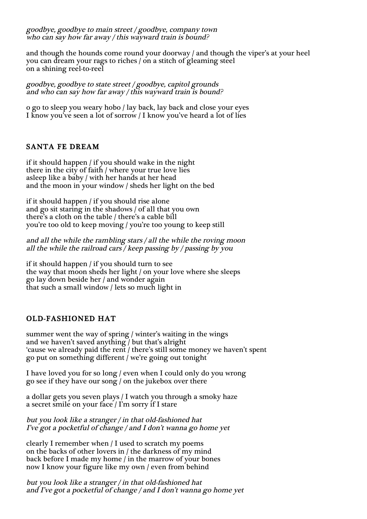goodbye, goodbye to main street / goodbye, company town who can say how far away / this wayward train is bound?

and though the hounds come round your doorway / and though the viper's at your heel you can dream your rags to riches / on a stitch of gleaming steel on a shining reel-to-reel

goodbye, goodbye to state street / goodbye, capitol grounds and who can say how far away / this wayward train is bound?

o go to sleep you weary hobo / lay back, lay back and close your eyes I know you've seen a lot of sorrow / I know you've heard a lot of lies

## SANTA FE DREAM

if it should happen / if you should wake in the night there in the city of faith / where your true love lies asleep like a baby / with her hands at her head and the moon in your window / sheds her light on the bed

if it should happen / if you should rise alone and go sit staring in the shadows / of all that you own there's a cloth on the table / there's a cable bill you're too old to keep moving / you're too young to keep still

and all the while the rambling stars / all the while the roving moon all the while the railroad cars / keep passing by / passing by you

if it should happen / if you should turn to see the way that moon sheds her light / on your love where she sleeps go lay down beside her / and wonder again that such a small window / lets so much light in

### OLD-FASHIONED HAT

summer went the way of spring / winter's waiting in the wings and we haven't saved anything / but that's alright 'cause we already paid the rent / there's still some money we haven't spent go put on something different / we're going out tonight

I have loved you for so long / even when I could only do you wrong go see if they have our song / on the jukebox over there

a dollar gets you seven plays / I watch you through a smoky haze a secret smile on your face / I'm sorry if I stare

but you look like a stranger / in that old-fashioned hat I've got a pocketful of change / and I don't wanna go home yet

clearly I remember when / I used to scratch my poems on the backs of other lovers in / the darkness of my mind back before I made my home / in the marrow of your bones now I know your figure like my own / even from behind

but you look like a stranger / in that old-fashioned hat and I've got a pocketful of change / and I don't wanna go home yet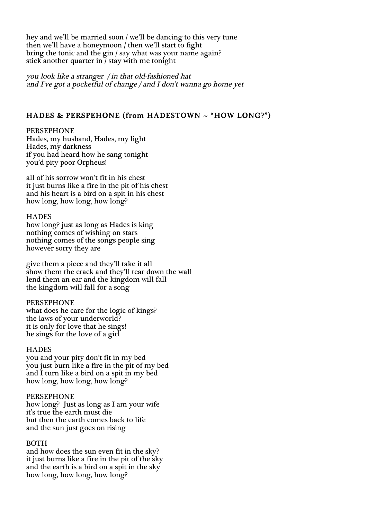hey and we'll be married soon / we'll be dancing to this very tune then we'll have a honeymoon / then we'll start to fight bring the tonic and the gin / say what was your name again? stick another quarter in  $\overline{\phantom{a}}$  stay with me tonight

you look like a stranger / in that old-fashioned hat and I've got a pocketful of change / and I don't wanna go home yet

## HADES & PERSPEHONE (from HADESTOWN ~ "HOW LONG?")

PERSEPHONE

Hades, my husband, Hades, my light Hades, my darkness if you had heard how he sang tonight you'd pity poor Orpheus!

all of his sorrow won't fit in his chest it just burns like a fire in the pit of his chest and his heart is a bird on a spit in his chest how long, how long, how long?

### HADES

how long? just as long as Hades is king nothing comes of wishing on stars nothing comes of the songs people sing however sorry they are

give them a piece and they'll take it all show them the crack and they'll tear down the wall lend them an ear and the kingdom will fall the kingdom will fall for a song

#### PERSEPHONE

what does he care for the logic of kings? the laws of your underworld? it is only for love that he sings! he sings for the love of a girl

#### **HADES**

you and your pity don't fit in my bed you just burn like a fire in the pit of my bed and I turn like a bird on a spit in my bed how long, how long, how long?

#### PERSEPHONE

how long? Just as long as I am your wife it's true the earth must die but then the earth comes back to life and the sun just goes on rising

#### BOTH

and how does the sun even fit in the sky? it just burns like a fire in the pit of the sky and the earth is a bird on a spit in the sky how long, how long, how long?